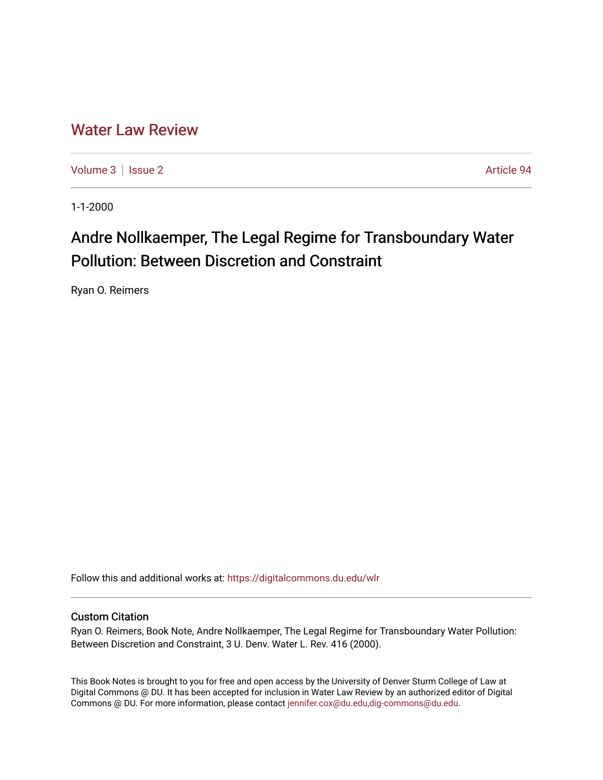## [Water Law Review](https://digitalcommons.du.edu/wlr)

[Volume 3](https://digitalcommons.du.edu/wlr/vol3) | [Issue 2](https://digitalcommons.du.edu/wlr/vol3/iss2) Article 94

1-1-2000

## Andre Nollkaemper, The Legal Regime for Transboundary Water Pollution: Between Discretion and Constraint

Ryan O. Reimers

Follow this and additional works at: [https://digitalcommons.du.edu/wlr](https://digitalcommons.du.edu/wlr?utm_source=digitalcommons.du.edu%2Fwlr%2Fvol3%2Fiss2%2F94&utm_medium=PDF&utm_campaign=PDFCoverPages) 

## Custom Citation

Ryan O. Reimers, Book Note, Andre Nollkaemper, The Legal Regime for Transboundary Water Pollution: Between Discretion and Constraint, 3 U. Denv. Water L. Rev. 416 (2000).

This Book Notes is brought to you for free and open access by the University of Denver Sturm College of Law at Digital Commons @ DU. It has been accepted for inclusion in Water Law Review by an authorized editor of Digital Commons @ DU. For more information, please contact [jennifer.cox@du.edu,dig-commons@du.edu.](mailto:jennifer.cox@du.edu,dig-commons@du.edu)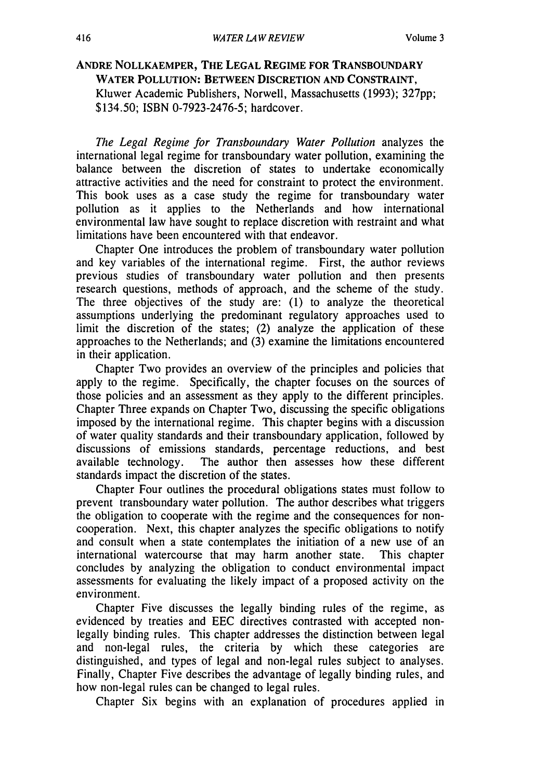## **ANDRE NOLLKAEMPER, THE LEGAL REGIME FOR TRANSBOUNDARY WATER POLLUTION: BETWEEN DISCRETION AND CONSTRAINT,** Kluwer Academic Publishers, Norwell, Massachusetts (1993); 327pp; \$134.50; ISBN 0-7923-2476-5; hardcover.

*The Legal Regime for Transboundary Water Pollution* analyzes the international legal regime for transboundary water pollution, examining the balance between the discretion of states to undertake economically attractive activities and the need for constraint to protect the environment. This book uses as a case study the regime for transboundary water pollution as it applies to the Netherlands and how international environmental law have sought to replace discretion with restraint and what limitations have been encountered with that endeavor.

Chapter One introduces the problem of transboundary water pollution and key variables of the international regime. First, the author reviews previous studies of transboundary water pollution and then presents research questions, methods of approach, and the scheme of the study. The three objectives of the study are: (1) to analyze the theoretical assumptions underlying the predominant regulatory approaches used to limit the discretion of the states; (2) analyze the application of these approaches to the Netherlands; and (3) examine the limitations encountered in their application.

Chapter Two provides an overview of the principles and policies that apply to the regime. Specifically, the chapter focuses on the sources of those policies and an assessment as they apply to the different principles. Chapter Three expands on Chapter Two, discussing the specific obligations imposed by the international regime. This chapter begins with a discussion of water quality standards and their transboundary application, followed by discussions of emissions standards, percentage reductions, and best available technology. The author then assesses how these different standards impact the discretion of the states.

Chapter Four outlines the procedural obligations states must follow to prevent transboundary water pollution. The author describes what triggers the obligation to cooperate with the regime and the consequences for noncooperation. Next, this chapter analyzes the specific obligations to notify and consult when a state contemplates the initiation of a new use of an international watercourse that may harm another state. This chapter concludes by analyzing the obligation to conduct environmental impact assessments for evaluating the likely impact of a proposed activity on the environment.

Chapter Five discusses the legally binding rules of the regime, as evidenced by treaties and EEC directives contrasted with accepted nonlegally binding rules. This chapter addresses the distinction between legal and non-legal rules, the criteria by which these categories are distinguished, and types of legal and non-legal rules subject to analyses. Finally, Chapter Five describes the advantage of legally binding rules, and how non-legal rules can be changed to legal rules.

Chapter Six begins with an explanation of procedures applied in